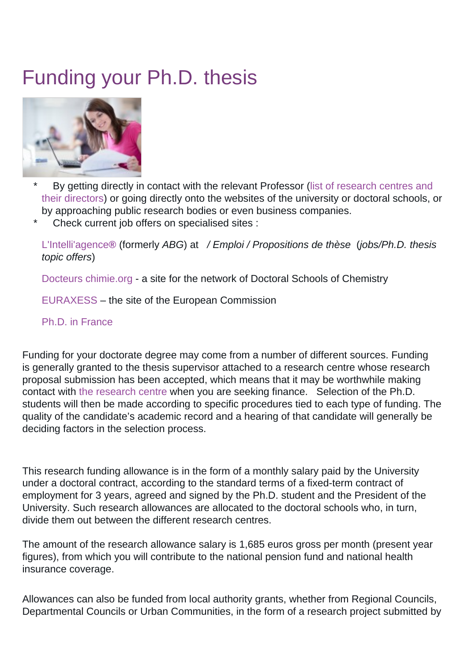## Funding your Ph.D. thesis



- By getting directly in contact with the relevant Professor ([list of research centres and](https://ed-sea.univ-pau.fr/en/organisation/host-research-centres.html) [their directors\)](https://ed-sea.univ-pau.fr/en/organisation/host-research-centres.html) or going directly onto the websites of the university or doctoral schools, or by approaching public research bodies or even business companies.
- Check current job offers on specialised sites :

[L'Intelli'agence](http://www.intelliagence.fr)**[®](http://www.abg.asso.fr)** (formerly ABG) at / Emploi / Propositions de thèse (jobs/Ph.D. thesis topic offers)

[Docteurs chimie.org](http://www.docteurs-chimie.org/) - a site for the network of Doctoral Schools of Chemistry

[EURAXESS](http://ec.europa.eu/euraxess/) – the site of the European Commission

## [Ph.D. in France](http://www.phdinfrance.net/offer.php)

Funding for your doctorate degree may come from a number of different sources. Funding is generally granted to the thesis supervisor attached to a research centre whose research proposal submission has been accepted, which means that it may be worthwhile making contact with [the research centre](https://ed-sea.univ-pau.fr/en/organisation/host-research-centres.html) when you are seeking finance. Selection of the Ph.D. students will then be made according to specific procedures tied to each type of funding. The quality of the candidate's academic record and a hearing of that candidate will generally be deciding factors in the selection process.

This research funding allowance is in the form of a monthly salary paid by the University under a doctoral contract, according to the standard terms of a fixed-term contract of employment for 3 years, agreed and signed by the Ph.D. student and the President of the University. Such research allowances are allocated to the doctoral schools who, in turn, divide them out between the different research centres.

The amount of the research allowance salary is 1,685 euros gross per month (present year figures), from which you will contribute to the national pension fund and national health insurance coverage.

Allowances can also be funded from local authority grants, whether from Regional Councils, Departmental Councils or Urban Communities, in the form of a research project submitted by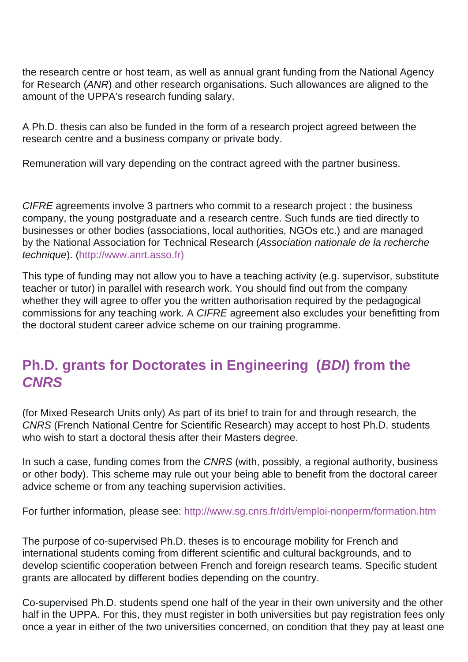the research centre or host team, as well as annual grant funding from the National Agency for Research (ANR) and other research organisations. Such allowances are aligned to the amount of the UPPA's research funding salary.

A Ph.D. thesis can also be funded in the form of a research project agreed between the research centre and a business company or private body.

Remuneration will vary depending on the contract agreed with the partner business.

CIFRE agreements involve 3 partners who commit to a research project : the business company, the young postgraduate and a research centre. Such funds are tied directly to businesses or other bodies (associations, local authorities, NGOs etc.) and are managed by the National Association for Technical Research (Association nationale de la recherche technique). (<http://www.anrt.asso.fr>[\)](http://www.anrt.asso.fr/)

This type of funding may not allow you to have a teaching activity (e.g. supervisor, substitute teacher or tutor) in parallel with research work. You should find out from the company whether they will agree to offer you the written authorisation required by the pedagogical commissions for any teaching work. A CIFRE agreement also excludes your benefitting from the doctoral student career advice scheme on our training programme.

## **Ph.D. grants for Doctorates in Engineering (BDI) from the CNRS**

(for Mixed Research Units only) As part of its brief to train for and through research, the CNRS (French National Centre for Scientific Research) may accept to host Ph.D. students who wish to start a doctoral thesis after their Masters degree.

In such a case, funding comes from the CNRS (with, possibly, a regional authority, business or other body). This scheme may rule out your being able to benefit from the doctoral career advice scheme or from any teaching supervision activities.

For further information, please see:<http://www.sg.cnrs.fr/drh/emploi-nonperm/formation.htm>

The purpose of co-supervised Ph.D. theses is to encourage mobility for French and international students coming from different scientific and cultural backgrounds, and to develop scientific cooperation between French and foreign research teams. Specific student grants are allocated by different bodies depending on the country.

Co-supervised Ph.D. students spend one half of the year in their own university and the other half in the UPPA. For this, they must register in both universities but pay registration fees only once a year in either of the two universities concerned, on condition that they pay at least one